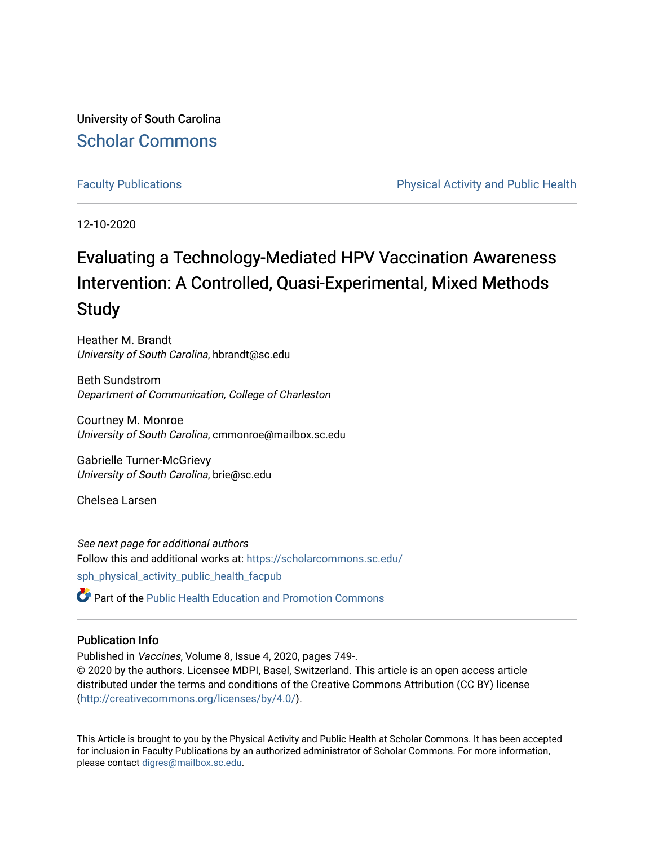University of South Carolina [Scholar Commons](https://scholarcommons.sc.edu/) 

[Faculty Publications](https://scholarcommons.sc.edu/sph_physical_activity_public_health_facpub) **Physical Activity and Public Health** Physical Activity and Public Health

12-10-2020

# Evaluating a Technology-Mediated HPV Vaccination Awareness Intervention: A Controlled, Quasi-Experimental, Mixed Methods Study

Heather M. Brandt University of South Carolina, hbrandt@sc.edu

Beth Sundstrom Department of Communication, College of Charleston

Courtney M. Monroe University of South Carolina, cmmonroe@mailbox.sc.edu

Gabrielle Turner-McGrievy University of South Carolina, brie@sc.edu

Chelsea Larsen

See next page for additional authors Follow this and additional works at: [https://scholarcommons.sc.edu/](https://scholarcommons.sc.edu/sph_physical_activity_public_health_facpub?utm_source=scholarcommons.sc.edu%2Fsph_physical_activity_public_health_facpub%2F373&utm_medium=PDF&utm_campaign=PDFCoverPages) [sph\\_physical\\_activity\\_public\\_health\\_facpub](https://scholarcommons.sc.edu/sph_physical_activity_public_health_facpub?utm_source=scholarcommons.sc.edu%2Fsph_physical_activity_public_health_facpub%2F373&utm_medium=PDF&utm_campaign=PDFCoverPages) 

Part of the [Public Health Education and Promotion Commons](http://network.bepress.com/hgg/discipline/743?utm_source=scholarcommons.sc.edu%2Fsph_physical_activity_public_health_facpub%2F373&utm_medium=PDF&utm_campaign=PDFCoverPages) 

### Publication Info

Published in Vaccines, Volume 8, Issue 4, 2020, pages 749-.

© 2020 by the authors. Licensee MDPI, Basel, Switzerland. This article is an open access article distributed under the terms and conditions of the Creative Commons Attribution (CC BY) license [\(http://creativecommons.org/licenses/by/4.0/\)](http://creativecommons.org/licenses/by/4.0/).

This Article is brought to you by the Physical Activity and Public Health at Scholar Commons. It has been accepted for inclusion in Faculty Publications by an authorized administrator of Scholar Commons. For more information, please contact [digres@mailbox.sc.edu](mailto:digres@mailbox.sc.edu).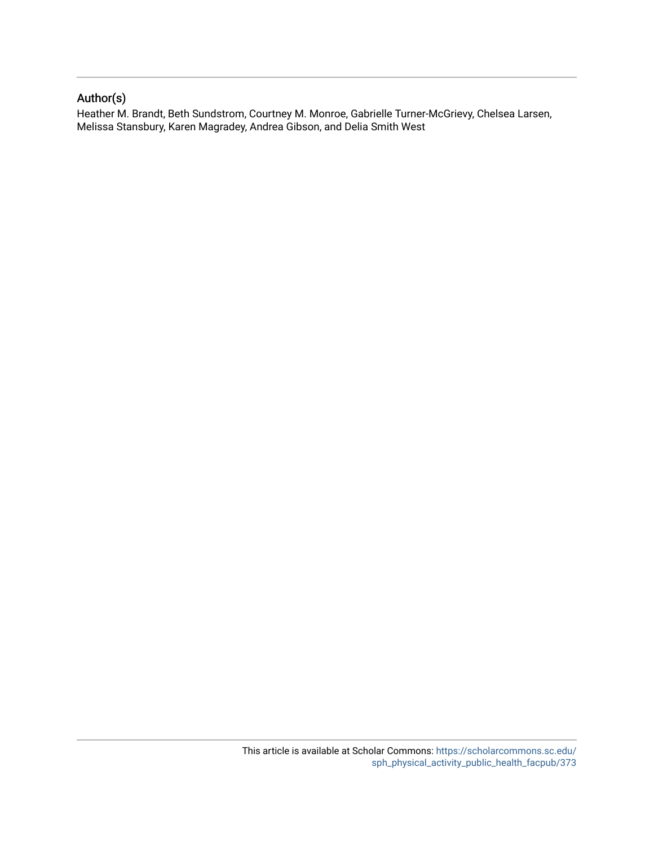### Author(s)

Heather M. Brandt, Beth Sundstrom, Courtney M. Monroe, Gabrielle Turner-McGrievy, Chelsea Larsen, Melissa Stansbury, Karen Magradey, Andrea Gibson, and Delia Smith West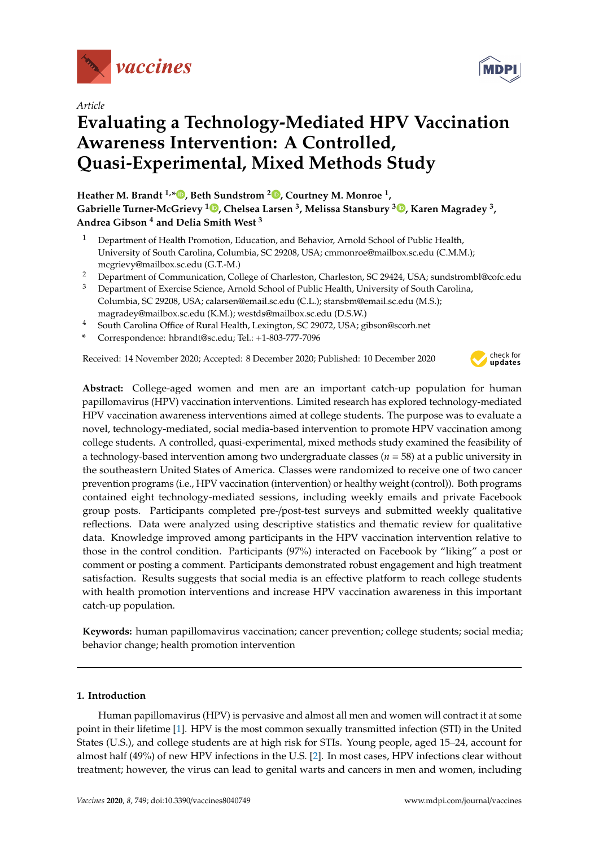

*Article*

## **Evaluating a Technology-Mediated HPV Vaccination Awareness Intervention: A Controlled, Quasi-Experimental, Mixed Methods Study**

**Heather M. Brandt 1,[\\*](https://orcid.org/0000-0003-1066-2879) , Beth Sundstrom <sup>2</sup> [,](https://orcid.org/0000-0002-6306-2941) Courtney M. Monroe <sup>1</sup> , Gabrielle Turner-McGrievy <sup>1</sup> [,](https://orcid.org/0000-0002-1683-5729) Chelsea Larsen <sup>3</sup> , Melissa Stansbury <sup>3</sup> [,](https://orcid.org/0000-0003-3842-4880) Karen Magradey <sup>3</sup> , Andrea Gibson <sup>4</sup> and Delia Smith West <sup>3</sup>**

- <sup>1</sup> Department of Health Promotion, Education, and Behavior, Arnold School of Public Health, University of South Carolina, Columbia, SC 29208, USA; cmmonroe@mailbox.sc.edu (C.M.M.); mcgrievy@mailbox.sc.edu (G.T.-M.)
- <sup>2</sup> Department of Communication, College of Charleston, Charleston, SC 29424, USA; sundstrombl@cofc.edu<br><sup>3</sup> Department of Exercise Science, Arnold School of Public Health, University of South Carolina
- <sup>3</sup> Department of Exercise Science, Arnold School of Public Health, University of South Carolina, Columbia, SC 29208, USA; calarsen@email.sc.edu (C.L.); stansbm@email.sc.edu (M.S.); magradey@mailbox.sc.edu (K.M.); westds@mailbox.sc.edu (D.S.W.)
- <sup>4</sup> South Carolina Office of Rural Health, Lexington, SC 29072, USA; gibson@scorh.net
- **\*** Correspondence: hbrandt@sc.edu; Tel.: +1-803-777-7096

Received: 14 November 2020; Accepted: 8 December 2020; Published: 10 December 2020



**Abstract:** College-aged women and men are an important catch-up population for human papillomavirus (HPV) vaccination interventions. Limited research has explored technology-mediated HPV vaccination awareness interventions aimed at college students. The purpose was to evaluate a novel, technology-mediated, social media-based intervention to promote HPV vaccination among college students. A controlled, quasi-experimental, mixed methods study examined the feasibility of a technology-based intervention among two undergraduate classes (*n* = 58) at a public university in the southeastern United States of America. Classes were randomized to receive one of two cancer prevention programs (i.e., HPV vaccination (intervention) or healthy weight (control)). Both programs contained eight technology-mediated sessions, including weekly emails and private Facebook group posts. Participants completed pre-/post-test surveys and submitted weekly qualitative reflections. Data were analyzed using descriptive statistics and thematic review for qualitative data. Knowledge improved among participants in the HPV vaccination intervention relative to those in the control condition. Participants (97%) interacted on Facebook by "liking" a post or comment or posting a comment. Participants demonstrated robust engagement and high treatment satisfaction. Results suggests that social media is an effective platform to reach college students with health promotion interventions and increase HPV vaccination awareness in this important catch-up population.

**Keywords:** human papillomavirus vaccination; cancer prevention; college students; social media; behavior change; health promotion intervention

#### **1. Introduction**

Human papillomavirus (HPV) is pervasive and almost all men and women will contract it at some point in their lifetime [\[1\]](#page-13-0). HPV is the most common sexually transmitted infection (STI) in the United States (U.S.), and college students are at high risk for STIs. Young people, aged 15–24, account for almost half (49%) of new HPV infections in the U.S. [\[2\]](#page-13-1). In most cases, HPV infections clear without treatment; however, the virus can lead to genital warts and cancers in men and women, including

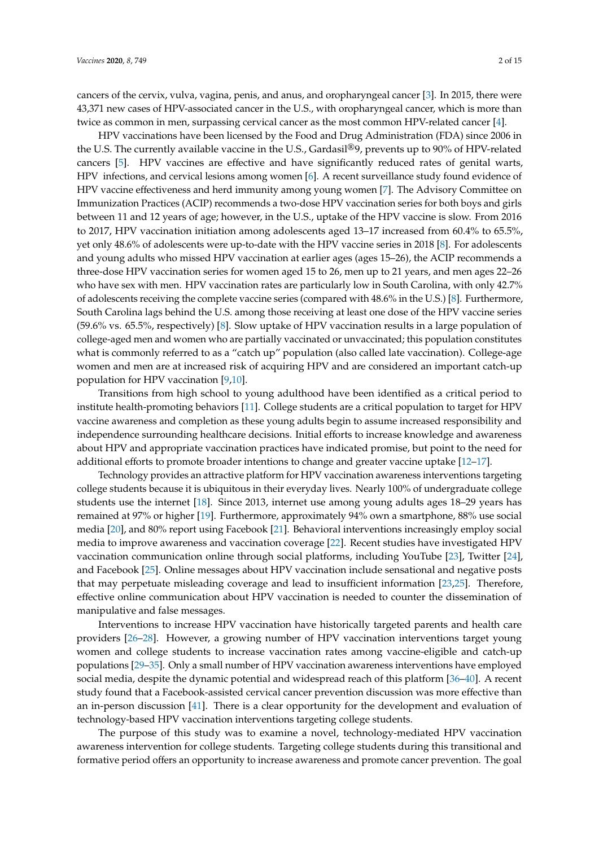cancers of the cervix, vulva, vagina, penis, and anus, and oropharyngeal cancer [\[3\]](#page-13-2). In 2015, there were 43,371 new cases of HPV-associated cancer in the U.S., with oropharyngeal cancer, which is more than twice as common in men, surpassing cervical cancer as the most common HPV-related cancer [\[4\]](#page-13-3).

HPV vaccinations have been licensed by the Food and Drug Administration (FDA) since 2006 in the U.S. The currently available vaccine in the U.S., Gardasil®9, prevents up to 90% of HPV-related cancers [\[5\]](#page-13-4). HPV vaccines are effective and have significantly reduced rates of genital warts, HPV infections, and cervical lesions among women [\[6\]](#page-13-5). A recent surveillance study found evidence of HPV vaccine effectiveness and herd immunity among young women [\[7\]](#page-13-6). The Advisory Committee on Immunization Practices (ACIP) recommends a two-dose HPV vaccination series for both boys and girls between 11 and 12 years of age; however, in the U.S., uptake of the HPV vaccine is slow. From 2016 to 2017, HPV vaccination initiation among adolescents aged 13–17 increased from 60.4% to 65.5%, yet only 48.6% of adolescents were up-to-date with the HPV vaccine series in 2018 [\[8\]](#page-13-7). For adolescents and young adults who missed HPV vaccination at earlier ages (ages 15–26), the ACIP recommends a three-dose HPV vaccination series for women aged 15 to 26, men up to 21 years, and men ages 22–26 who have sex with men. HPV vaccination rates are particularly low in South Carolina, with only 42.7% of adolescents receiving the complete vaccine series (compared with 48.6% in the U.S.) [\[8\]](#page-13-7). Furthermore, South Carolina lags behind the U.S. among those receiving at least one dose of the HPV vaccine series (59.6% vs. 65.5%, respectively) [\[8\]](#page-13-7). Slow uptake of HPV vaccination results in a large population of college-aged men and women who are partially vaccinated or unvaccinated; this population constitutes what is commonly referred to as a "catch up" population (also called late vaccination). College-age women and men are at increased risk of acquiring HPV and are considered an important catch-up population for HPV vaccination [\[9](#page-13-8)[,10\]](#page-13-9).

Transitions from high school to young adulthood have been identified as a critical period to institute health-promoting behaviors [\[11\]](#page-14-0). College students are a critical population to target for HPV vaccine awareness and completion as these young adults begin to assume increased responsibility and independence surrounding healthcare decisions. Initial efforts to increase knowledge and awareness about HPV and appropriate vaccination practices have indicated promise, but point to the need for additional efforts to promote broader intentions to change and greater vaccine uptake [\[12–](#page-14-1)[17\]](#page-14-2).

Technology provides an attractive platform for HPV vaccination awareness interventions targeting college students because it is ubiquitous in their everyday lives. Nearly 100% of undergraduate college students use the internet [\[18\]](#page-14-3). Since 2013, internet use among young adults ages 18–29 years has remained at 97% or higher [\[19\]](#page-14-4). Furthermore, approximately 94% own a smartphone, 88% use social media [\[20\]](#page-14-5), and 80% report using Facebook [\[21\]](#page-14-6). Behavioral interventions increasingly employ social media to improve awareness and vaccination coverage [\[22\]](#page-14-7). Recent studies have investigated HPV vaccination communication online through social platforms, including YouTube [\[23\]](#page-14-8), Twitter [\[24\]](#page-14-9), and Facebook [\[25\]](#page-14-10). Online messages about HPV vaccination include sensational and negative posts that may perpetuate misleading coverage and lead to insufficient information [\[23](#page-14-8)[,25\]](#page-14-10). Therefore, effective online communication about HPV vaccination is needed to counter the dissemination of manipulative and false messages.

Interventions to increase HPV vaccination have historically targeted parents and health care providers [\[26–](#page-14-11)[28\]](#page-14-12). However, a growing number of HPV vaccination interventions target young women and college students to increase vaccination rates among vaccine-eligible and catch-up populations [\[29](#page-14-13)[–35\]](#page-15-0). Only a small number of HPV vaccination awareness interventions have employed social media, despite the dynamic potential and widespread reach of this platform [\[36](#page-15-1)[–40\]](#page-15-2). A recent study found that a Facebook-assisted cervical cancer prevention discussion was more effective than an in-person discussion [\[41\]](#page-15-3). There is a clear opportunity for the development and evaluation of technology-based HPV vaccination interventions targeting college students.

The purpose of this study was to examine a novel, technology-mediated HPV vaccination awareness intervention for college students. Targeting college students during this transitional and formative period offers an opportunity to increase awareness and promote cancer prevention. The goal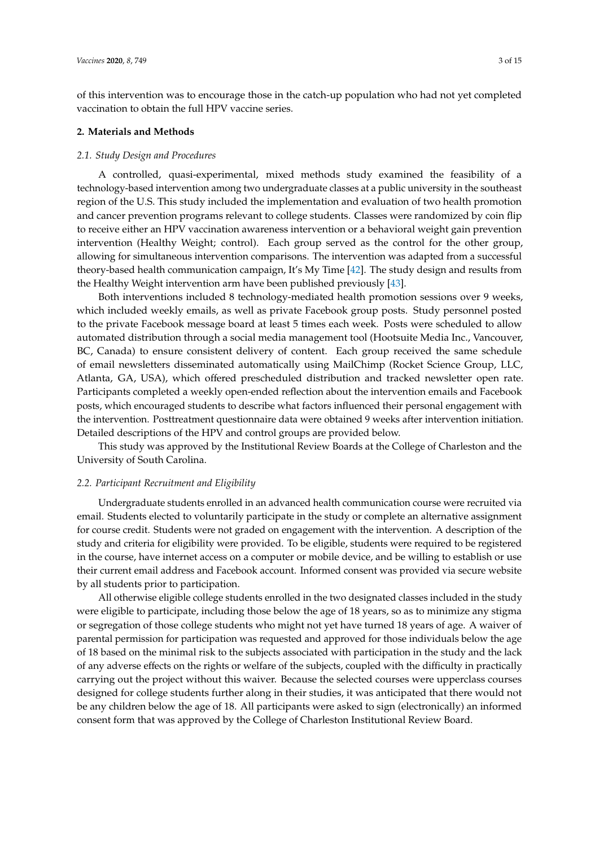of this intervention was to encourage those in the catch-up population who had not yet completed vaccination to obtain the full HPV vaccine series.

#### **2. Materials and Methods**

#### *2.1. Study Design and Procedures*

A controlled, quasi-experimental, mixed methods study examined the feasibility of a technology-based intervention among two undergraduate classes at a public university in the southeast region of the U.S. This study included the implementation and evaluation of two health promotion and cancer prevention programs relevant to college students. Classes were randomized by coin flip to receive either an HPV vaccination awareness intervention or a behavioral weight gain prevention intervention (Healthy Weight; control). Each group served as the control for the other group, allowing for simultaneous intervention comparisons. The intervention was adapted from a successful theory-based health communication campaign, It's My Time [\[42\]](#page-15-4). The study design and results from the Healthy Weight intervention arm have been published previously [\[43\]](#page-15-5).

Both interventions included 8 technology-mediated health promotion sessions over 9 weeks, which included weekly emails, as well as private Facebook group posts. Study personnel posted to the private Facebook message board at least 5 times each week. Posts were scheduled to allow automated distribution through a social media management tool (Hootsuite Media Inc., Vancouver, BC, Canada) to ensure consistent delivery of content. Each group received the same schedule of email newsletters disseminated automatically using MailChimp (Rocket Science Group, LLC, Atlanta, GA, USA), which offered prescheduled distribution and tracked newsletter open rate. Participants completed a weekly open-ended reflection about the intervention emails and Facebook posts, which encouraged students to describe what factors influenced their personal engagement with the intervention. Posttreatment questionnaire data were obtained 9 weeks after intervention initiation. Detailed descriptions of the HPV and control groups are provided below.

This study was approved by the Institutional Review Boards at the College of Charleston and the University of South Carolina.

#### *2.2. Participant Recruitment and Eligibility*

Undergraduate students enrolled in an advanced health communication course were recruited via email. Students elected to voluntarily participate in the study or complete an alternative assignment for course credit. Students were not graded on engagement with the intervention. A description of the study and criteria for eligibility were provided. To be eligible, students were required to be registered in the course, have internet access on a computer or mobile device, and be willing to establish or use their current email address and Facebook account. Informed consent was provided via secure website by all students prior to participation.

All otherwise eligible college students enrolled in the two designated classes included in the study were eligible to participate, including those below the age of 18 years, so as to minimize any stigma or segregation of those college students who might not yet have turned 18 years of age. A waiver of parental permission for participation was requested and approved for those individuals below the age of 18 based on the minimal risk to the subjects associated with participation in the study and the lack of any adverse effects on the rights or welfare of the subjects, coupled with the difficulty in practically carrying out the project without this waiver. Because the selected courses were upperclass courses designed for college students further along in their studies, it was anticipated that there would not be any children below the age of 18. All participants were asked to sign (electronically) an informed consent form that was approved by the College of Charleston Institutional Review Board.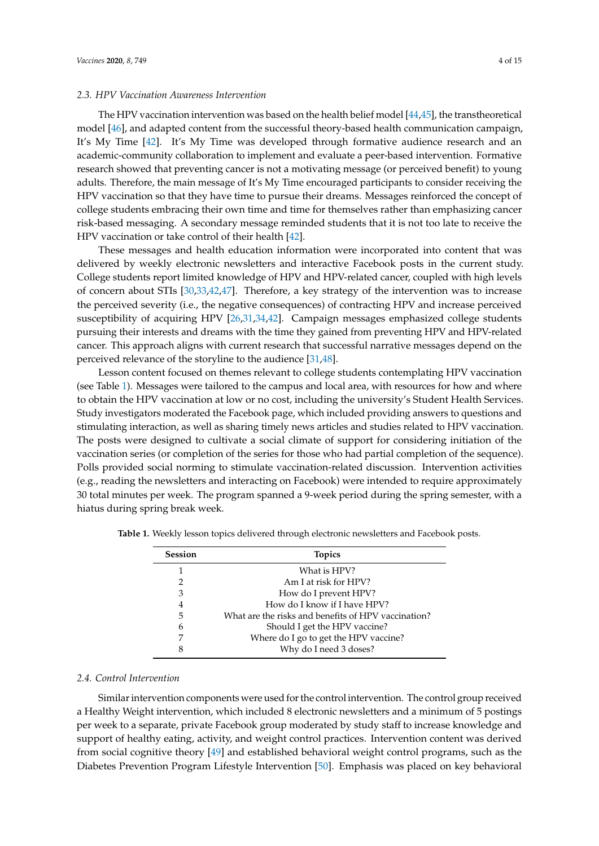#### *2.3. HPV Vaccination Awareness Intervention*

The HPV vaccination intervention was based on the health belief model [\[44,](#page-15-6)[45\]](#page-15-7), the transtheoretical model [\[46\]](#page-15-8), and adapted content from the successful theory-based health communication campaign, It's My Time [\[42\]](#page-15-4). It's My Time was developed through formative audience research and an academic-community collaboration to implement and evaluate a peer-based intervention. Formative research showed that preventing cancer is not a motivating message (or perceived benefit) to young adults. Therefore, the main message of It's My Time encouraged participants to consider receiving the HPV vaccination so that they have time to pursue their dreams. Messages reinforced the concept of college students embracing their own time and time for themselves rather than emphasizing cancer risk-based messaging. A secondary message reminded students that it is not too late to receive the HPV vaccination or take control of their health [\[42\]](#page-15-4).

These messages and health education information were incorporated into content that was delivered by weekly electronic newsletters and interactive Facebook posts in the current study. College students report limited knowledge of HPV and HPV-related cancer, coupled with high levels of concern about STIs [\[30](#page-14-14)[,33](#page-15-9)[,42](#page-15-4)[,47\]](#page-15-10). Therefore, a key strategy of the intervention was to increase the perceived severity (i.e., the negative consequences) of contracting HPV and increase perceived susceptibility of acquiring HPV [\[26,](#page-14-11)[31](#page-15-11)[,34,](#page-15-12)[42\]](#page-15-4). Campaign messages emphasized college students pursuing their interests and dreams with the time they gained from preventing HPV and HPV-related cancer. This approach aligns with current research that successful narrative messages depend on the perceived relevance of the storyline to the audience [\[31](#page-15-11)[,48\]](#page-15-13).

Lesson content focused on themes relevant to college students contemplating HPV vaccination (see Table [1\)](#page-5-0). Messages were tailored to the campus and local area, with resources for how and where to obtain the HPV vaccination at low or no cost, including the university's Student Health Services. Study investigators moderated the Facebook page, which included providing answers to questions and stimulating interaction, as well as sharing timely news articles and studies related to HPV vaccination. The posts were designed to cultivate a social climate of support for considering initiation of the vaccination series (or completion of the series for those who had partial completion of the sequence). Polls provided social norming to stimulate vaccination-related discussion. Intervention activities (e.g., reading the newsletters and interacting on Facebook) were intended to require approximately 30 total minutes per week. The program spanned a 9-week period during the spring semester, with a hiatus during spring break week.

| <b>Session</b> | <b>Topics</b>                                       |
|----------------|-----------------------------------------------------|
|                | What is HPV?                                        |
| 2              | Am I at risk for HPV?                               |
| 3              | How do I prevent HPV?                               |
| 4              | How do I know if I have HPV?                        |
| 5              | What are the risks and benefits of HPV vaccination? |
| 6              | Should I get the HPV vaccine?                       |
| 7              | Where do I go to get the HPV vaccine?               |
| 8              | Why do I need 3 doses?                              |

<span id="page-5-0"></span>**Table 1.** Weekly lesson topics delivered through electronic newsletters and Facebook posts.

#### *2.4. Control Intervention*

Similar intervention components were used for the control intervention. The control group received a Healthy Weight intervention, which included 8 electronic newsletters and a minimum of 5 postings per week to a separate, private Facebook group moderated by study staff to increase knowledge and support of healthy eating, activity, and weight control practices. Intervention content was derived from social cognitive theory [\[49\]](#page-15-14) and established behavioral weight control programs, such as the Diabetes Prevention Program Lifestyle Intervention [\[50\]](#page-15-15). Emphasis was placed on key behavioral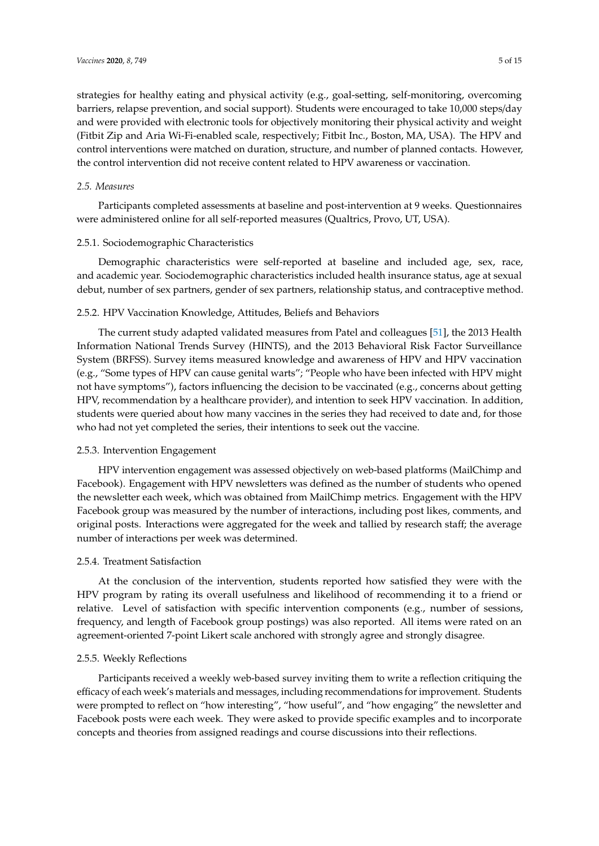strategies for healthy eating and physical activity (e.g., goal-setting, self-monitoring, overcoming barriers, relapse prevention, and social support). Students were encouraged to take 10,000 steps/day and were provided with electronic tools for objectively monitoring their physical activity and weight (Fitbit Zip and Aria Wi-Fi-enabled scale, respectively; Fitbit Inc., Boston, MA, USA). The HPV and control interventions were matched on duration, structure, and number of planned contacts. However, the control intervention did not receive content related to HPV awareness or vaccination.

#### *2.5. Measures*

Participants completed assessments at baseline and post-intervention at 9 weeks. Questionnaires were administered online for all self-reported measures (Qualtrics, Provo, UT, USA).

#### 2.5.1. Sociodemographic Characteristics

Demographic characteristics were self-reported at baseline and included age, sex, race, and academic year. Sociodemographic characteristics included health insurance status, age at sexual debut, number of sex partners, gender of sex partners, relationship status, and contraceptive method.

#### 2.5.2. HPV Vaccination Knowledge, Attitudes, Beliefs and Behaviors

The current study adapted validated measures from Patel and colleagues [\[51\]](#page-15-16), the 2013 Health Information National Trends Survey (HINTS), and the 2013 Behavioral Risk Factor Surveillance System (BRFSS). Survey items measured knowledge and awareness of HPV and HPV vaccination (e.g., "Some types of HPV can cause genital warts"; "People who have been infected with HPV might not have symptoms"), factors influencing the decision to be vaccinated (e.g., concerns about getting HPV, recommendation by a healthcare provider), and intention to seek HPV vaccination. In addition, students were queried about how many vaccines in the series they had received to date and, for those who had not yet completed the series, their intentions to seek out the vaccine.

#### 2.5.3. Intervention Engagement

HPV intervention engagement was assessed objectively on web-based platforms (MailChimp and Facebook). Engagement with HPV newsletters was defined as the number of students who opened the newsletter each week, which was obtained from MailChimp metrics. Engagement with the HPV Facebook group was measured by the number of interactions, including post likes, comments, and original posts. Interactions were aggregated for the week and tallied by research staff; the average number of interactions per week was determined.

#### 2.5.4. Treatment Satisfaction

At the conclusion of the intervention, students reported how satisfied they were with the HPV program by rating its overall usefulness and likelihood of recommending it to a friend or relative. Level of satisfaction with specific intervention components (e.g., number of sessions, frequency, and length of Facebook group postings) was also reported. All items were rated on an agreement-oriented 7-point Likert scale anchored with strongly agree and strongly disagree.

#### 2.5.5. Weekly Reflections

Participants received a weekly web-based survey inviting them to write a reflection critiquing the efficacy of each week's materials and messages, including recommendations for improvement. Students were prompted to reflect on "how interesting", "how useful", and "how engaging" the newsletter and Facebook posts were each week. They were asked to provide specific examples and to incorporate concepts and theories from assigned readings and course discussions into their reflections.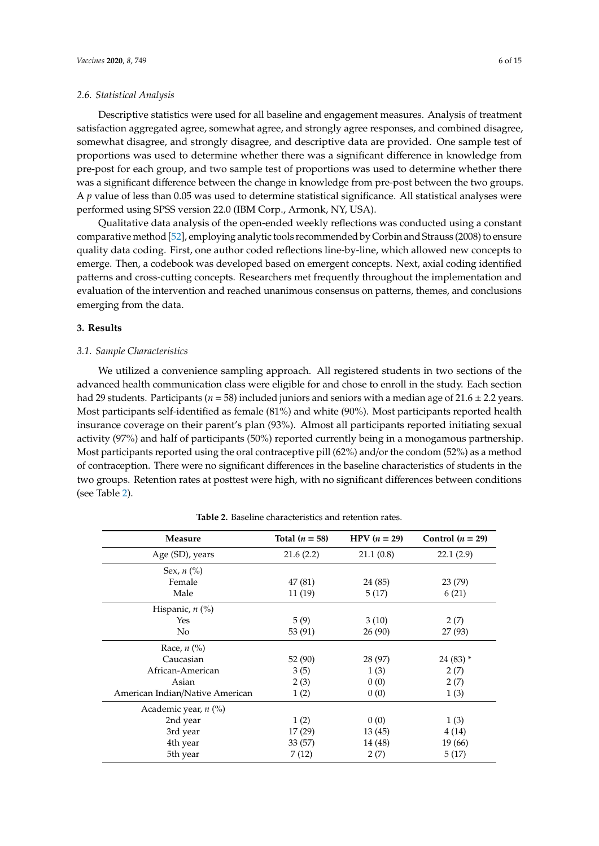Descriptive statistics were used for all baseline and engagement measures. Analysis of treatment satisfaction aggregated agree, somewhat agree, and strongly agree responses, and combined disagree, somewhat disagree, and strongly disagree, and descriptive data are provided. One sample test of proportions was used to determine whether there was a significant difference in knowledge from pre-post for each group, and two sample test of proportions was used to determine whether there was a significant difference between the change in knowledge from pre-post between the two groups. A *p* value of less than 0.05 was used to determine statistical significance. All statistical analyses were performed using SPSS version 22.0 (IBM Corp., Armonk, NY, USA).

Qualitative data analysis of the open-ended weekly reflections was conducted using a constant comparative method [\[52\]](#page-16-0), employing analytic tools recommended by Corbin and Strauss (2008) to ensure quality data coding. First, one author coded reflections line-by-line, which allowed new concepts to emerge. Then, a codebook was developed based on emergent concepts. Next, axial coding identified patterns and cross-cutting concepts. Researchers met frequently throughout the implementation and evaluation of the intervention and reached unanimous consensus on patterns, themes, and conclusions emerging from the data.

#### **3. Results**

#### *3.1. Sample Characteristics*

We utilized a convenience sampling approach. All registered students in two sections of the advanced health communication class were eligible for and chose to enroll in the study. Each section had 29 students. Participants (*n* = 58) included juniors and seniors with a median age of 21.6 ± 2.2 years. Most participants self-identified as female (81%) and white (90%). Most participants reported health insurance coverage on their parent's plan (93%). Almost all participants reported initiating sexual activity (97%) and half of participants (50%) reported currently being in a monogamous partnership. Most participants reported using the oral contraceptive pill (62%) and/or the condom (52%) as a method of contraception. There were no significant differences in the baseline characteristics of students in the two groups. Retention rates at posttest were high, with no significant differences between conditions (see Table [2\)](#page-7-0).

<span id="page-7-0"></span>

| Measure                         | Total $(n = 58)$ | $HPV (n = 29)$ | Control $(n = 29)$ |
|---------------------------------|------------------|----------------|--------------------|
| Age (SD), years                 | 21.6(2.2)        | 21.1(0.8)      | 22.1(2.9)          |
| Sex, $n$ (%)                    |                  |                |                    |
| Female                          | 47 (81)          | 24 (85)        | 23 (79)            |
| Male                            | 11(19)           | 5(17)          | 6(21)              |
| Hispanic, n (%)                 |                  |                |                    |
| Yes                             | 5(9)             | 3(10)          | 2(7)               |
| N <sub>0</sub>                  | 53 (91)          | 26(90)         | 27 (93)            |
| Race, $n$ $\left(\% \right)$    |                  |                |                    |
| Caucasian                       | 52 (90)          | 28 (97)        | $24(83)$ *         |
| African-American                | 3(5)             | 1(3)           | 2(7)               |
| Asian                           | 2(3)             | 0(0)           | 2(7)               |
| American Indian/Native American | 1(2)             | 0(0)           | 1(3)               |
| Academic year, n (%)            |                  |                |                    |
| 2nd year                        | 1(2)             | 0(0)           | 1(3)               |
| 3rd year                        | 17(29)           | 13(45)         | 4(14)              |
| 4th year                        | 33(57)           | 14 (48)        | 19 (66)            |
| 5th year                        | 7 (12)           | 2(7)           | 5(17)              |

**Table 2.** Baseline characteristics and retention rates.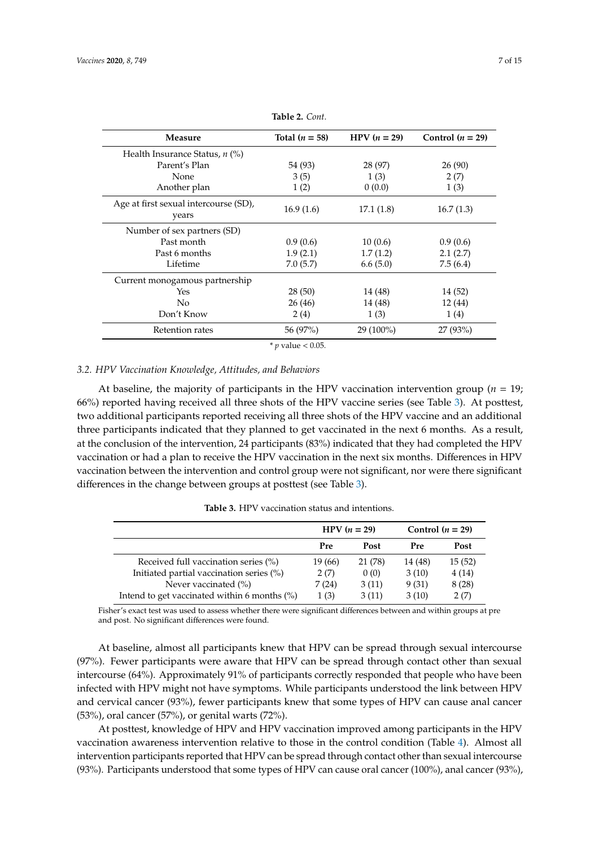| Measure                                        | Total $(n = 58)$         | $HPV (n = 29)$ | Control $(n = 29)$ |
|------------------------------------------------|--------------------------|----------------|--------------------|
| Health Insurance Status, $n$ (%)               |                          |                |                    |
| Parent's Plan                                  | 54 (93)                  | 28 (97)        | 26(90)             |
| None                                           | 3(5)                     | 1(3)           | 2(7)               |
| Another plan                                   | 1(2)                     | 0(0.0)         | 1(3)               |
| Age at first sexual intercourse (SD),<br>years | 16.9(1.6)                | 17.1(1.8)      | 16.7(1.3)          |
| Number of sex partners (SD)                    |                          |                |                    |
| Past month                                     | 0.9(0.6)                 | 10(0.6)        | 0.9(0.6)           |
| Past 6 months                                  | 1.9(2.1)                 | 1.7(1.2)       | 2.1(2.7)           |
| Lifetime                                       | 7.0(5.7)                 | 6.6(5.0)       | 7.5(6.4)           |
| Current monogamous partnership                 |                          |                |                    |
| Yes                                            | 28(50)                   | 14 (48)        | 14 (52)            |
| N <sub>o</sub>                                 | 26 (46)                  | 14 (48)        | 12 (44)            |
| Don't Know                                     | 2(4)                     | 1(3)           | 1(4)               |
| Retention rates                                | 56 (97%)                 | $29(100\%)$    | 27(93%)            |
|                                                | * <i>p</i> value < 0.05. |                |                    |

**Table 2.** *Cont.*

#### *3.2. HPV Vaccination Knowledge, Attitudes, and Behaviors*

At baseline, the majority of participants in the HPV vaccination intervention group (*n* = 19; 66%) reported having received all three shots of the HPV vaccine series (see Table [3\)](#page-8-0). At posttest, two additional participants reported receiving all three shots of the HPV vaccine and an additional three participants indicated that they planned to get vaccinated in the next 6 months. As a result, at the conclusion of the intervention, 24 participants (83%) indicated that they had completed the HPV vaccination or had a plan to receive the HPV vaccination in the next six months. Differences in HPV vaccination between the intervention and control group were not significant, nor were there significant differences in the change between groups at posttest (see Table [3\)](#page-8-0).

| <b>Table 3.</b> HPV vaccination status and intentions. |
|--------------------------------------------------------|
|--------------------------------------------------------|

<span id="page-8-0"></span>

|                                                 | $HPV (n = 29)$ |             | Control $(n = 29)$ |        |
|-------------------------------------------------|----------------|-------------|--------------------|--------|
|                                                 | Pre            | <b>Post</b> | Pre                | Post   |
| Received full vaccination series (%)            | 19 (66)        | 21 (78)     | 14 (48)            | 15(52) |
| Initiated partial vaccination series (%)        | 2(7)           | 0(0)        | 3(10)              | 4(14)  |
| Never vaccinated (%)                            | 7(24)          | 3(11)       | 9(31)              | 8(28)  |
| Intend to get vaccinated within 6 months $(\%)$ | 1(3)           | 3(11)       | 3(10)              | 2(7)   |

Fisher's exact test was used to assess whether there were significant differences between and within groups at pre and post. No significant differences were found.

At baseline, almost all participants knew that HPV can be spread through sexual intercourse (97%). Fewer participants were aware that HPV can be spread through contact other than sexual intercourse (64%). Approximately 91% of participants correctly responded that people who have been infected with HPV might not have symptoms. While participants understood the link between HPV and cervical cancer (93%), fewer participants knew that some types of HPV can cause anal cancer (53%), oral cancer (57%), or genital warts (72%).

At posttest, knowledge of HPV and HPV vaccination improved among participants in the HPV vaccination awareness intervention relative to those in the control condition (Table [4\)](#page-9-0). Almost all intervention participants reported that HPV can be spread through contact other than sexual intercourse (93%). Participants understood that some types of HPV can cause oral cancer (100%), anal cancer (93%),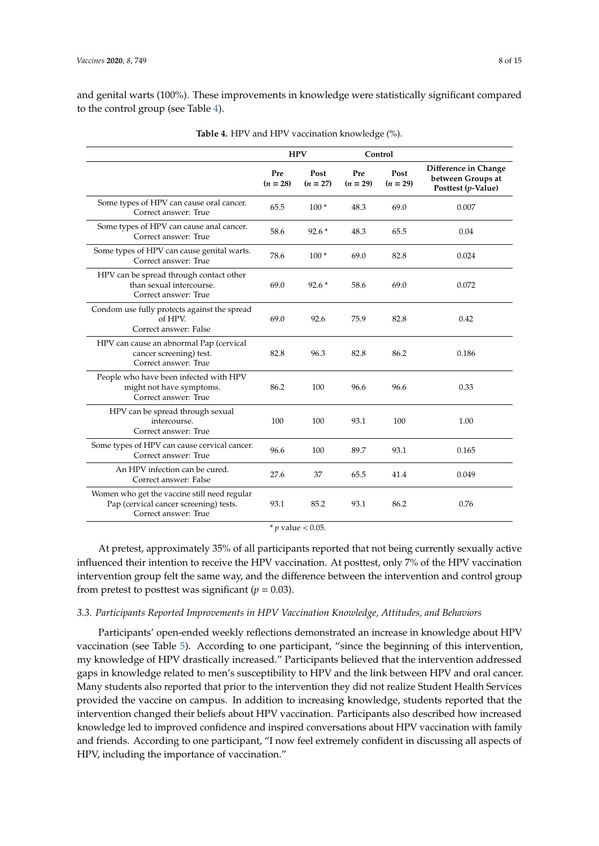and genital warts (100%). These improvements in knowledge were statistically significant compared to the control group (see Table [4\)](#page-9-0).

<span id="page-9-0"></span>

|                                                                                                                | <b>HPV</b>        |                    |                   | Control            |                                                                 |
|----------------------------------------------------------------------------------------------------------------|-------------------|--------------------|-------------------|--------------------|-----------------------------------------------------------------|
|                                                                                                                | Pre<br>$(n = 28)$ | Post<br>$(n = 27)$ | Pre<br>$(n = 29)$ | Post<br>$(n = 29)$ | Difference in Change<br>between Groups at<br>Posttest (p-Value) |
| Some types of HPV can cause oral cancer.<br>Correct answer: True                                               | 65.5              | $100*$             | 48.3              | 69.0               | 0.007                                                           |
| Some types of HPV can cause anal cancer.<br>Correct answer: True                                               | 58.6              | $92.6*$            | 48.3              | 65.5               | 0.04                                                            |
| Some types of HPV can cause genital warts.<br>Correct answer: True                                             | 78.6              | $100*$             | 69.0              | 82.8               | 0.024                                                           |
| HPV can be spread through contact other<br>than sexual intercourse.<br>Correct answer: True                    | 69.0              | $92.6*$            | 58.6              | 69.0               | 0.072                                                           |
| Condom use fully protects against the spread<br>of HPV.<br>Correct answer: False                               | 69.0              | 92.6               | 75.9              | 82.8               | 0.42                                                            |
| HPV can cause an abnormal Pap (cervical<br>cancer screening) test.<br>Correct answer: True                     | 82.8              | 96.3               | 82.8              | 86.2               | 0.186                                                           |
| People who have been infected with HPV<br>might not have symptoms.<br>Correct answer: True                     | 86.2              | 100                | 96.6              | 96.6               | 0.33                                                            |
| HPV can be spread through sexual<br>intercourse.<br>Correct answer: True                                       | 100               | 100                | 93.1              | 100                | 1.00                                                            |
| Some types of HPV can cause cervical cancer.<br>Correct answer: True                                           | 96.6              | 100                | 89.7              | 93.1               | 0.165                                                           |
| An HPV infection can be cured.<br>Correct answer: False                                                        | 27.6              | 37                 | 65.5              | 41.4               | 0.049                                                           |
| Women who get the vaccine still need regular<br>Pap (cervical cancer screening) tests.<br>Correct answer: True | 93.1              | 85.2               | 93.1              | 86.2               | 0.76                                                            |

|  |  |  |  | Table 4. HPV and HPV vaccination knowledge (%). |  |
|--|--|--|--|-------------------------------------------------|--|
|--|--|--|--|-------------------------------------------------|--|

\* *p* value < 0.05.

At pretest, approximately 35% of all participants reported that not being currently sexually active influenced their intention to receive the HPV vaccination. At posttest, only 7% of the HPV vaccination intervention group felt the same way, and the difference between the intervention and control group from pretest to posttest was significant ( $p = 0.03$ ).

#### *3.3. Participants Reported Improvements in HPV Vaccination Knowledge, Attitudes, and Behaviors*

Participants' open-ended weekly reflections demonstrated an increase in knowledge about HPV vaccination (see Table [5\)](#page-10-0). According to one participant, "since the beginning of this intervention, my knowledge of HPV drastically increased." Participants believed that the intervention addressed gaps in knowledge related to men's susceptibility to HPV and the link between HPV and oral cancer. Many students also reported that prior to the intervention they did not realize Student Health Services provided the vaccine on campus. In addition to increasing knowledge, students reported that the intervention changed their beliefs about HPV vaccination. Participants also described how increased knowledge led to improved confidence and inspired conversations about HPV vaccination with family and friends. According to one participant, "I now feel extremely confident in discussing all aspects of HPV, including the importance of vaccination."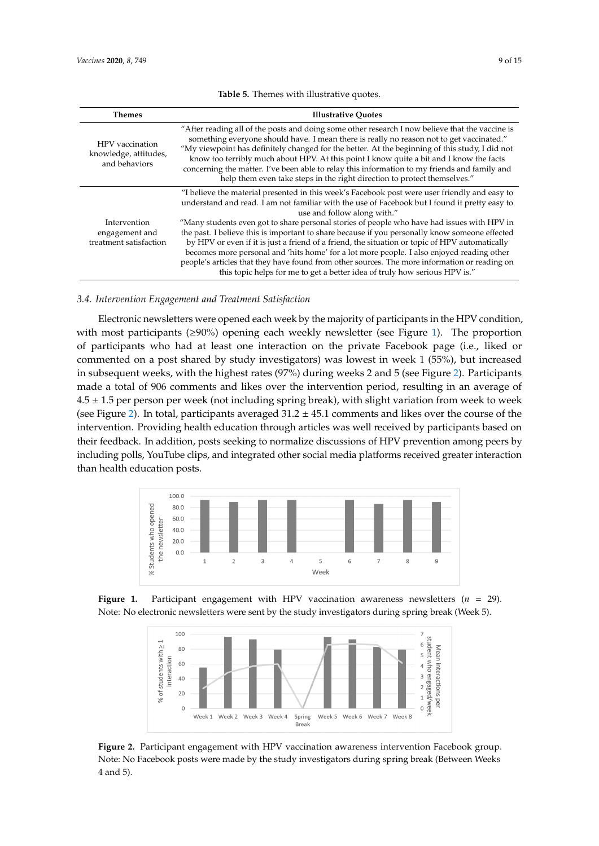<span id="page-10-0"></span>

| <b>Themes</b>                                             | <b>Illustrative Ouotes</b>                                                                                                                                                                                                                                                                                                                                                                                                                                                                                                                                                  |
|-----------------------------------------------------------|-----------------------------------------------------------------------------------------------------------------------------------------------------------------------------------------------------------------------------------------------------------------------------------------------------------------------------------------------------------------------------------------------------------------------------------------------------------------------------------------------------------------------------------------------------------------------------|
| HPV vaccination<br>knowledge, attitudes,<br>and behaviors | "After reading all of the posts and doing some other research I now believe that the vaccine is<br>something everyone should have. I mean there is really no reason not to get vaccinated."<br>"My viewpoint has definitely changed for the better. At the beginning of this study, I did not<br>know too terribly much about HPV. At this point I know quite a bit and I know the facts<br>concerning the matter. I've been able to relay this information to my friends and family and<br>help them even take steps in the right direction to protect themselves."        |
|                                                           | "I believe the material presented in this week's Facebook post were user friendly and easy to<br>understand and read. I am not familiar with the use of Facebook but I found it pretty easy to<br>use and follow along with."                                                                                                                                                                                                                                                                                                                                               |
| Intervention<br>engagement and<br>treatment satisfaction  | "Many students even got to share personal stories of people who have had issues with HPV in<br>the past. I believe this is important to share because if you personally know someone effected<br>by HPV or even if it is just a friend of a friend, the situation or topic of HPV automatically<br>becomes more personal and 'hits home' for a lot more people. I also enjoyed reading other<br>people's articles that they have found from other sources. The more information or reading on<br>this topic helps for me to get a better idea of truly how serious HPV is." |

**Table 5.** Themes with illustrative quotes. **Table 5.** Themes with illustrative quotes.

#### *3.4. Intervention Engagement and Treatment Satisfaction 3.4. Intervention Engagement and Treatment Satisfaction*  Electronic newsletters were opened each week by the majority of participants in the HPV

Electronic newsletters were opened each week by the majority of participants in the HPV condition, with most participants  $(\geq 90\%)$  opening each weekly newsletter [\(s](#page-10-1)ee Figure 1). The proportion of participants who had at least one interaction on the private Facebook page (i.e., liked or commented on a post shared by study investigators) was lowest in week 1 (55%), but increased in subsequent weeks, with the highest rates (97%) during weeks 2 and 5 (see Figure [2\)](#page-10-2). Participants made a total of 906 comments and likes over the intervention period, resulting in an average of  $4.5 \pm 1.5$  per person per week (not including spring break), with slight variation from week to week (see Figure 2). In total, [pa](#page-10-2)rticipants averaged  $31.2 \pm 45.1$  comments and likes over the course of the intervention. Providing health education through articles was well received by participants based on their feedback. In addition, posts seeking to normalize discussions of HPV prevention among peers by including polls, YouTube clips, and integrated other social media platforms received greater interaction than health education posts.

<span id="page-10-1"></span>

<span id="page-10-2"></span>Figure 1. Participant engagement with HPV vaccination awareness newsletters  $(n = 29)$ . Note: No electronic newsletters were sent by the study investigators during spring break (Week 5).



Note: No Facebook posts were made by the study investigators during spring break (Between Weeks  $4$  and  $5$ ). **Figure 2.** Participant engagement with HPV vaccination awareness intervention Facebook group. **Figure 2.** Participant engagement with HPV vaccination awareness intervention Facebook group. 4 and 5). 4 and 5).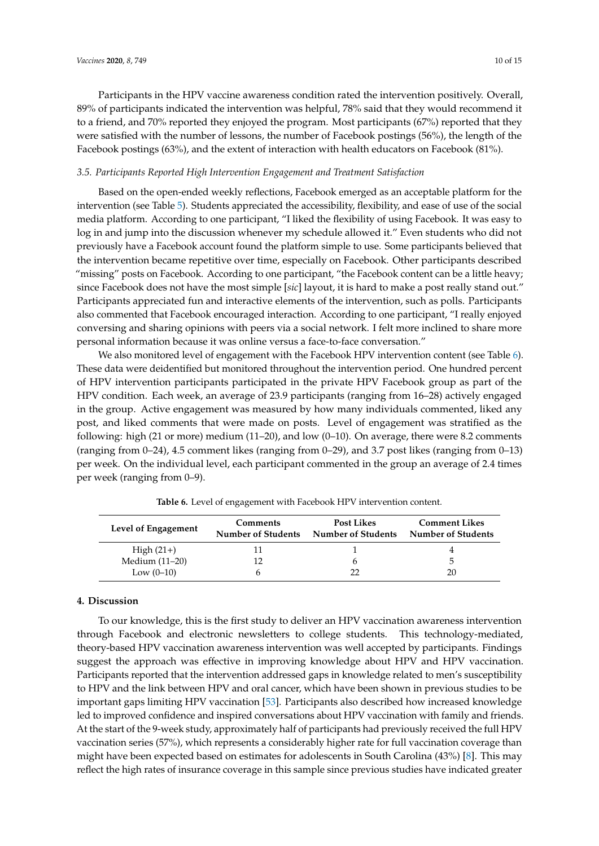Participants in the HPV vaccine awareness condition rated the intervention positively. Overall, 89% of participants indicated the intervention was helpful, 78% said that they would recommend it to a friend, and 70% reported they enjoyed the program. Most participants (67%) reported that they were satisfied with the number of lessons, the number of Facebook postings (56%), the length of the Facebook postings (63%), and the extent of interaction with health educators on Facebook (81%).

#### *3.5. Participants Reported High Intervention Engagement and Treatment Satisfaction*

Based on the open-ended weekly reflections, Facebook emerged as an acceptable platform for the intervention (see Table [5\)](#page-10-0). Students appreciated the accessibility, flexibility, and ease of use of the social media platform. According to one participant, "I liked the flexibility of using Facebook. It was easy to log in and jump into the discussion whenever my schedule allowed it." Even students who did not previously have a Facebook account found the platform simple to use. Some participants believed that the intervention became repetitive over time, especially on Facebook. Other participants described "missing" posts on Facebook. According to one participant, "the Facebook content can be a little heavy; since Facebook does not have the most simple [*sic*] layout, it is hard to make a post really stand out." Participants appreciated fun and interactive elements of the intervention, such as polls. Participants also commented that Facebook encouraged interaction. According to one participant, "I really enjoyed conversing and sharing opinions with peers via a social network. I felt more inclined to share more personal information because it was online versus a face-to-face conversation."

We also monitored level of engagement with the Facebook HPV intervention content (see Table [6\)](#page-11-0). These data were deidentified but monitored throughout the intervention period. One hundred percent of HPV intervention participants participated in the private HPV Facebook group as part of the HPV condition. Each week, an average of 23.9 participants (ranging from 16–28) actively engaged in the group. Active engagement was measured by how many individuals commented, liked any post, and liked comments that were made on posts. Level of engagement was stratified as the following: high (21 or more) medium  $(11–20)$ , and low  $(0–10)$ . On average, there were 8.2 comments (ranging from 0–24), 4.5 comment likes (ranging from 0–29), and 3.7 post likes (ranging from 0–13) per week. On the individual level, each participant commented in the group an average of 2.4 times per week (ranging from 0–9).

<span id="page-11-0"></span>

| Level of Engagement | <b>Comments</b><br>Number of Students | <b>Post Likes</b><br>Number of Students | <b>Comment Likes</b><br>Number of Students |
|---------------------|---------------------------------------|-----------------------------------------|--------------------------------------------|
| High $(21+)$        |                                       |                                         |                                            |
| Medium $(11-20)$    |                                       |                                         | 5                                          |
| Low $(0-10)$        |                                       |                                         | 20                                         |

**Table 6.** Level of engagement with Facebook HPV intervention content.

#### **4. Discussion**

To our knowledge, this is the first study to deliver an HPV vaccination awareness intervention through Facebook and electronic newsletters to college students. This technology-mediated, theory-based HPV vaccination awareness intervention was well accepted by participants. Findings suggest the approach was effective in improving knowledge about HPV and HPV vaccination. Participants reported that the intervention addressed gaps in knowledge related to men's susceptibility to HPV and the link between HPV and oral cancer, which have been shown in previous studies to be important gaps limiting HPV vaccination [\[53\]](#page-16-1). Participants also described how increased knowledge led to improved confidence and inspired conversations about HPV vaccination with family and friends. At the start of the 9-week study, approximately half of participants had previously received the full HPV vaccination series (57%), which represents a considerably higher rate for full vaccination coverage than might have been expected based on estimates for adolescents in South Carolina (43%) [\[8\]](#page-13-7). This may reflect the high rates of insurance coverage in this sample since previous studies have indicated greater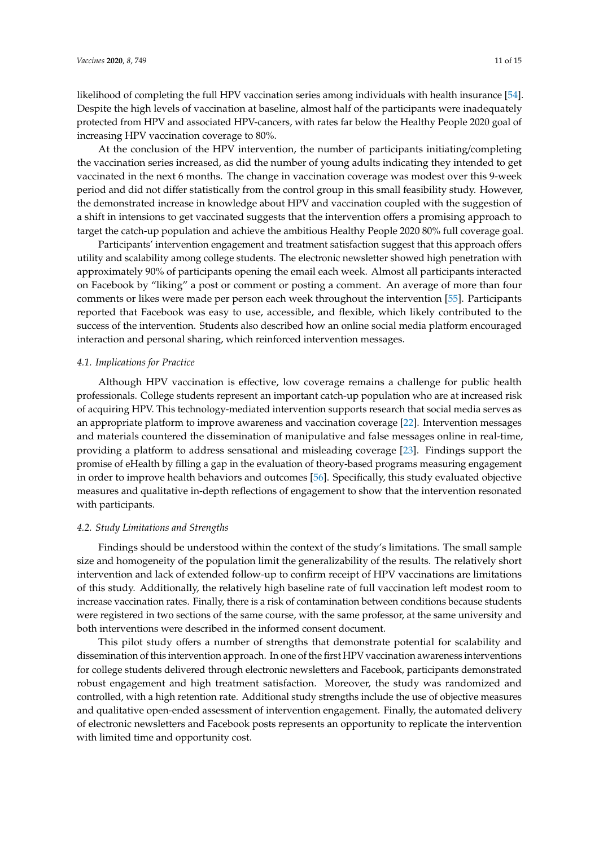likelihood of completing the full HPV vaccination series among individuals with health insurance [\[54\]](#page-16-2). Despite the high levels of vaccination at baseline, almost half of the participants were inadequately protected from HPV and associated HPV-cancers, with rates far below the Healthy People 2020 goal of increasing HPV vaccination coverage to 80%.

At the conclusion of the HPV intervention, the number of participants initiating/completing the vaccination series increased, as did the number of young adults indicating they intended to get vaccinated in the next 6 months. The change in vaccination coverage was modest over this 9-week period and did not differ statistically from the control group in this small feasibility study. However, the demonstrated increase in knowledge about HPV and vaccination coupled with the suggestion of a shift in intensions to get vaccinated suggests that the intervention offers a promising approach to target the catch-up population and achieve the ambitious Healthy People 2020 80% full coverage goal.

Participants' intervention engagement and treatment satisfaction suggest that this approach offers utility and scalability among college students. The electronic newsletter showed high penetration with approximately 90% of participants opening the email each week. Almost all participants interacted on Facebook by "liking" a post or comment or posting a comment. An average of more than four comments or likes were made per person each week throughout the intervention [\[55\]](#page-16-3). Participants reported that Facebook was easy to use, accessible, and flexible, which likely contributed to the success of the intervention. Students also described how an online social media platform encouraged interaction and personal sharing, which reinforced intervention messages.

#### *4.1. Implications for Practice*

Although HPV vaccination is effective, low coverage remains a challenge for public health professionals. College students represent an important catch-up population who are at increased risk of acquiring HPV. This technology-mediated intervention supports research that social media serves as an appropriate platform to improve awareness and vaccination coverage [\[22\]](#page-14-7). Intervention messages and materials countered the dissemination of manipulative and false messages online in real-time, providing a platform to address sensational and misleading coverage [\[23\]](#page-14-8). Findings support the promise of eHealth by filling a gap in the evaluation of theory-based programs measuring engagement in order to improve health behaviors and outcomes [\[56\]](#page-16-4). Specifically, this study evaluated objective measures and qualitative in-depth reflections of engagement to show that the intervention resonated with participants.

#### *4.2. Study Limitations and Strengths*

Findings should be understood within the context of the study's limitations. The small sample size and homogeneity of the population limit the generalizability of the results. The relatively short intervention and lack of extended follow-up to confirm receipt of HPV vaccinations are limitations of this study. Additionally, the relatively high baseline rate of full vaccination left modest room to increase vaccination rates. Finally, there is a risk of contamination between conditions because students were registered in two sections of the same course, with the same professor, at the same university and both interventions were described in the informed consent document.

This pilot study offers a number of strengths that demonstrate potential for scalability and dissemination of this intervention approach. In one of the first HPV vaccination awareness interventions for college students delivered through electronic newsletters and Facebook, participants demonstrated robust engagement and high treatment satisfaction. Moreover, the study was randomized and controlled, with a high retention rate. Additional study strengths include the use of objective measures and qualitative open-ended assessment of intervention engagement. Finally, the automated delivery of electronic newsletters and Facebook posts represents an opportunity to replicate the intervention with limited time and opportunity cost.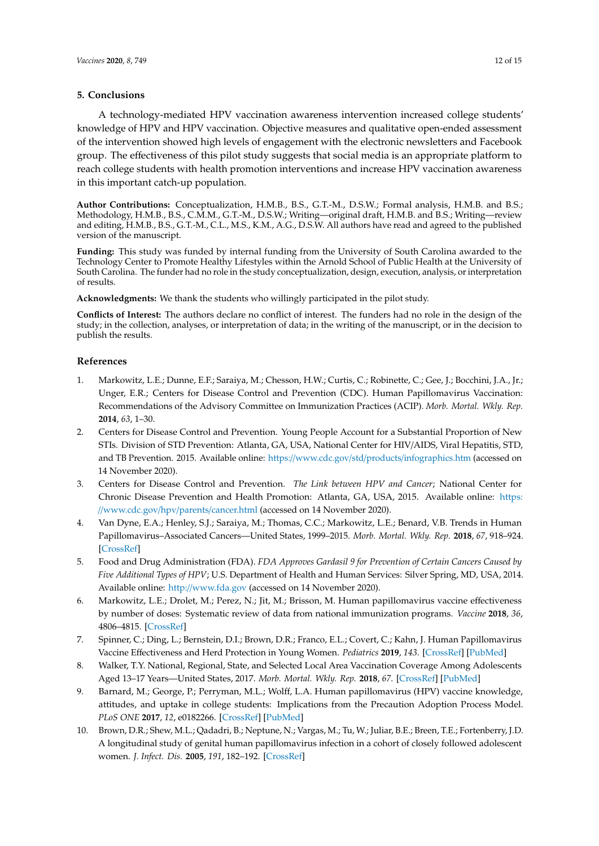#### **5. Conclusions**

A technology-mediated HPV vaccination awareness intervention increased college students' knowledge of HPV and HPV vaccination. Objective measures and qualitative open-ended assessment of the intervention showed high levels of engagement with the electronic newsletters and Facebook group. The effectiveness of this pilot study suggests that social media is an appropriate platform to reach college students with health promotion interventions and increase HPV vaccination awareness in this important catch-up population.

**Author Contributions:** Conceptualization, H.M.B., B.S., G.T.-M., D.S.W.; Formal analysis, H.M.B. and B.S.; Methodology, H.M.B., B.S., C.M.M., G.T.-M., D.S.W.; Writing—original draft, H.M.B. and B.S.; Writing—review and editing, H.M.B., B.S., G.T.-M., C.L., M.S., K.M., A.G., D.S.W. All authors have read and agreed to the published version of the manuscript.

**Funding:** This study was funded by internal funding from the University of South Carolina awarded to the Technology Center to Promote Healthy Lifestyles within the Arnold School of Public Health at the University of South Carolina. The funder had no role in the study conceptualization, design, execution, analysis, or interpretation of results.

**Acknowledgments:** We thank the students who willingly participated in the pilot study.

**Conflicts of Interest:** The authors declare no conflict of interest. The funders had no role in the design of the study; in the collection, analyses, or interpretation of data; in the writing of the manuscript, or in the decision to publish the results.

#### **References**

- <span id="page-13-0"></span>1. Markowitz, L.E.; Dunne, E.F.; Saraiya, M.; Chesson, H.W.; Curtis, C.; Robinette, C.; Gee, J.; Bocchini, J.A., Jr.; Unger, E.R.; Centers for Disease Control and Prevention (CDC). Human Papillomavirus Vaccination: Recommendations of the Advisory Committee on Immunization Practices (ACIP). *Morb. Mortal. Wkly. Rep.* **2014**, *63*, 1–30.
- <span id="page-13-1"></span>2. Centers for Disease Control and Prevention. Young People Account for a Substantial Proportion of New STIs. Division of STD Prevention: Atlanta, GA, USA, National Center for HIV/AIDS, Viral Hepatitis, STD, and TB Prevention. 2015. Available online: https://www.cdc.gov/std/products/[infographics.htm](https://www.cdc.gov/std/products/infographics.htm) (accessed on 14 November 2020).
- <span id="page-13-2"></span>3. Centers for Disease Control and Prevention. *The Link between HPV and Cancer*; National Center for Chronic Disease Prevention and Health Promotion: Atlanta, GA, USA, 2015. Available online: [https:](https://www.cdc.gov/hpv/parents/cancer.html) //[www.cdc.gov](https://www.cdc.gov/hpv/parents/cancer.html)/hpv/parents/cancer.html (accessed on 14 November 2020).
- <span id="page-13-3"></span>4. Van Dyne, E.A.; Henley, S.J.; Saraiya, M.; Thomas, C.C.; Markowitz, L.E.; Benard, V.B. Trends in Human Papillomavirus–Associated Cancers—United States, 1999–2015. *Morb. Mortal. Wkly. Rep.* **2018**, *67*, 918–924. [\[CrossRef\]](http://dx.doi.org/10.15585/mmwr.mm6733a2)
- <span id="page-13-4"></span>5. Food and Drug Administration (FDA). *FDA Approves Gardasil 9 for Prevention of Certain Cancers Caused by Five Additional Types of HPV*; U.S. Department of Health and Human Services: Silver Spring, MD, USA, 2014. Available online: http://[www.fda.gov](http://www.fda.gov) (accessed on 14 November 2020).
- <span id="page-13-5"></span>6. Markowitz, L.E.; Drolet, M.; Perez, N.; Jit, M.; Brisson, M. Human papillomavirus vaccine effectiveness by number of doses: Systematic review of data from national immunization programs. *Vaccine* **2018**, *36*, 4806–4815. [\[CrossRef\]](http://dx.doi.org/10.1016/j.vaccine.2018.01.057)
- <span id="page-13-6"></span>7. Spinner, C.; Ding, L.; Bernstein, D.I.; Brown, D.R.; Franco, E.L.; Covert, C.; Kahn, J. Human Papillomavirus Vaccine Effectiveness and Herd Protection in Young Women. *Pediatrics* **2019**, *143*. [\[CrossRef\]](http://dx.doi.org/10.1542/peds.2018-1902) [\[PubMed\]](http://www.ncbi.nlm.nih.gov/pubmed/30670582)
- <span id="page-13-7"></span>8. Walker, T.Y. National, Regional, State, and Selected Local Area Vaccination Coverage Among Adolescents Aged 13–17 Years—United States, 2017. *Morb. Mortal. Wkly. Rep.* **2018**, *67*. [\[CrossRef\]](http://dx.doi.org/10.15585/mmwr.mm6733a1) [\[PubMed\]](http://www.ncbi.nlm.nih.gov/pubmed/30138305)
- <span id="page-13-8"></span>9. Barnard, M.; George, P.; Perryman, M.L.; Wolff, L.A. Human papillomavirus (HPV) vaccine knowledge, attitudes, and uptake in college students: Implications from the Precaution Adoption Process Model. *PLoS ONE* **2017**, *12*, e0182266. [\[CrossRef\]](http://dx.doi.org/10.1371/journal.pone.0182266) [\[PubMed\]](http://www.ncbi.nlm.nih.gov/pubmed/28786994)
- <span id="page-13-9"></span>10. Brown, D.R.; Shew, M.L.; Qadadri, B.; Neptune, N.; Vargas, M.; Tu, W.; Juliar, B.E.; Breen, T.E.; Fortenberry, J.D. A longitudinal study of genital human papillomavirus infection in a cohort of closely followed adolescent women. *J. Infect. Dis.* **2005**, *191*, 182–192. [\[CrossRef\]](http://dx.doi.org/10.1086/426867)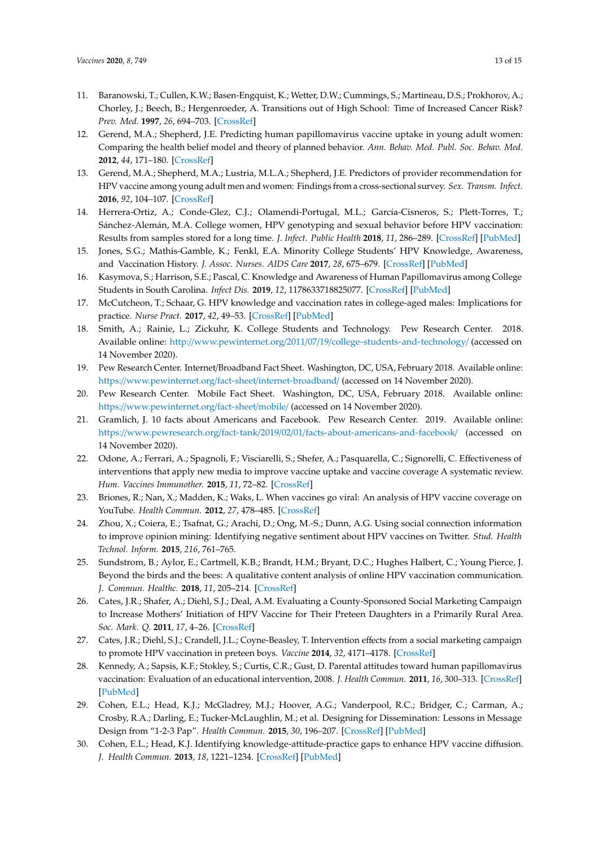- <span id="page-14-0"></span>11. Baranowski, T.; Cullen, K.W.; Basen-Engquist, K.; Wetter, D.W.; Cummings, S.; Martineau, D.S.; Prokhorov, A.; Chorley, J.; Beech, B.; Hergenroeder, A. Transitions out of High School: Time of Increased Cancer Risk? *Prev. Med.* **1997**, *26*, 694–703. [\[CrossRef\]](http://dx.doi.org/10.1006/pmed.1997.0193)
- <span id="page-14-1"></span>12. Gerend, M.A.; Shepherd, J.E. Predicting human papillomavirus vaccine uptake in young adult women: Comparing the health belief model and theory of planned behavior. *Ann. Behav. Med. Publ. Soc. Behav. Med.* **2012**, *44*, 171–180. [\[CrossRef\]](http://dx.doi.org/10.1007/s12160-012-9366-5)
- 13. Gerend, M.A.; Shepherd, M.A.; Lustria, M.L.A.; Shepherd, J.E. Predictors of provider recommendation for HPV vaccine among young adult men and women: Findings from a cross-sectional survey. *Sex. Transm. Infect.* **2016**, *92*, 104–107. [\[CrossRef\]](http://dx.doi.org/10.1136/sextrans-2015-052088)
- 14. Herrera-Ortiz, A.; Conde-Glez, C.J.; Olamendi-Portugal, M.L.; García-Cisneros, S.; Plett-Torres, T.; Sánchez-Alemán, M.A. College women, HPV genotyping and sexual behavior before HPV vaccination: Results from samples stored for a long time. *J. Infect. Public Health* **2018**, *11*, 286–289. [\[CrossRef\]](http://dx.doi.org/10.1016/j.jiph.2017.08.014) [\[PubMed\]](http://www.ncbi.nlm.nih.gov/pubmed/28993170)
- 15. Jones, S.G.; Mathis-Gamble, K.; Fenkl, E.A. Minority College Students' HPV Knowledge, Awareness, and Vaccination History. *J. Assoc. Nurses. AIDS Care* **2017**, *28*, 675–679. [\[CrossRef\]](http://dx.doi.org/10.1016/j.jana.2017.04.008) [\[PubMed\]](http://www.ncbi.nlm.nih.gov/pubmed/28506749)
- 16. Kasymova, S.; Harrison, S.E.; Pascal, C. Knowledge and Awareness of Human Papillomavirus among College Students in South Carolina. *Infect Dis.* **2019**, *12*, 1178633718825077. [\[CrossRef\]](http://dx.doi.org/10.1177/1178633718825077) [\[PubMed\]](http://www.ncbi.nlm.nih.gov/pubmed/30728723)
- <span id="page-14-2"></span>17. McCutcheon, T.; Schaar, G. HPV knowledge and vaccination rates in college-aged males: Implications for practice. *Nurse Pract.* **2017**, *42*, 49–53. [\[CrossRef\]](http://dx.doi.org/10.1097/01.NPR.0000511009.91219.d4) [\[PubMed\]](http://www.ncbi.nlm.nih.gov/pubmed/28002145)
- <span id="page-14-3"></span>18. Smith, A.; Rainie, L.; Zickuhr, K. College Students and Technology. Pew Research Center. 2018. Available online: http://www.pewinternet.org/2011/07/19/[college-students-and-technology](http://www.pewinternet.org/2011/07/19/college-students-and-technology/)/ (accessed on 14 November 2020).
- <span id="page-14-4"></span>19. Pew Research Center. Internet/Broadband Fact Sheet. Washington, DC, USA, February 2018. Available online: https://[www.pewinternet.org](https://www.pewinternet.org/fact-sheet/internet-broadband/)/fact-sheet/internet-broadband/ (accessed on 14 November 2020).
- <span id="page-14-5"></span>20. Pew Research Center. Mobile Fact Sheet. Washington, DC, USA, February 2018. Available online: https://[www.pewinternet.org](https://www.pewinternet.org/fact-sheet/mobile/)/fact-sheet/mobile/ (accessed on 14 November 2020).
- <span id="page-14-6"></span>21. Gramlich, J. 10 facts about Americans and Facebook. Pew Research Center. 2019. Available online: https://www.pewresearch.org/fact-tank/2019/02/01/[facts-about-americans-and-facebook](https://www.pewresearch.org/fact-tank/2019/02/01/facts-about-americans-and-facebook/)/ (accessed on 14 November 2020).
- <span id="page-14-7"></span>22. Odone, A.; Ferrari, A.; Spagnoli, F.; Visciarelli, S.; Shefer, A.; Pasquarella, C.; Signorelli, C. Effectiveness of interventions that apply new media to improve vaccine uptake and vaccine coverage A systematic review. *Hum. Vaccines Immunother.* **2015**, *11*, 72–82. [\[CrossRef\]](http://dx.doi.org/10.4161/hv.34313)
- <span id="page-14-8"></span>23. Briones, R.; Nan, X.; Madden, K.; Waks, L. When vaccines go viral: An analysis of HPV vaccine coverage on YouTube. *Health Commun.* **2012**, *27*, 478–485. [\[CrossRef\]](http://dx.doi.org/10.1080/10410236.2011.610258)
- <span id="page-14-9"></span>24. Zhou, X.; Coiera, E.; Tsafnat, G.; Arachi, D.; Ong, M.-S.; Dunn, A.G. Using social connection information to improve opinion mining: Identifying negative sentiment about HPV vaccines on Twitter. *Stud. Health Technol. Inform.* **2015**, *216*, 761–765.
- <span id="page-14-10"></span>25. Sundstrom, B.; Aylor, E.; Cartmell, K.B.; Brandt, H.M.; Bryant, D.C.; Hughes Halbert, C.; Young Pierce, J. Beyond the birds and the bees: A qualitative content analysis of online HPV vaccination communication. *J. Commun. Healthc.* **2018**, *11*, 205–214. [\[CrossRef\]](http://dx.doi.org/10.1080/17538068.2018.1484984)
- <span id="page-14-11"></span>26. Cates, J.R.; Shafer, A.; Diehl, S.J.; Deal, A.M. Evaluating a County-Sponsored Social Marketing Campaign to Increase Mothers' Initiation of HPV Vaccine for Their Preteen Daughters in a Primarily Rural Area. *Soc. Mark. Q.* **2011**, *17*, 4–26. [\[CrossRef\]](http://dx.doi.org/10.1080/15245004.2010.546943)
- 27. Cates, J.R.; Diehl, S.J.; Crandell, J.L.; Coyne-Beasley, T. Intervention effects from a social marketing campaign to promote HPV vaccination in preteen boys. *Vaccine* **2014**, *32*, 4171–4178. [\[CrossRef\]](http://dx.doi.org/10.1016/j.vaccine.2014.05.044)
- <span id="page-14-12"></span>28. Kennedy, A.; Sapsis, K.F.; Stokley, S.; Curtis, C.R.; Gust, D. Parental attitudes toward human papillomavirus vaccination: Evaluation of an educational intervention, 2008. *J. Health Commun.* **2011**, *16*, 300–313. [\[CrossRef\]](http://dx.doi.org/10.1080/10810730.2010.532296) [\[PubMed\]](http://www.ncbi.nlm.nih.gov/pubmed/21161814)
- <span id="page-14-13"></span>29. Cohen, E.L.; Head, K.J.; McGladrey, M.J.; Hoover, A.G.; Vanderpool, R.C.; Bridger, C.; Carman, A.; Crosby, R.A.; Darling, E.; Tucker-McLaughlin, M.; et al. Designing for Dissemination: Lessons in Message Design from "1-2-3 Pap". *Health Commun.* **2015**, *30*, 196–207. [\[CrossRef\]](http://dx.doi.org/10.1080/10410236.2014.974130) [\[PubMed\]](http://www.ncbi.nlm.nih.gov/pubmed/25470444)
- <span id="page-14-14"></span>30. Cohen, E.L.; Head, K.J. Identifying knowledge-attitude-practice gaps to enhance HPV vaccine diffusion. *J. Health Commun.* **2013**, *18*, 1221–1234. [\[CrossRef\]](http://dx.doi.org/10.1080/10810730.2013.778357) [\[PubMed\]](http://www.ncbi.nlm.nih.gov/pubmed/23767775)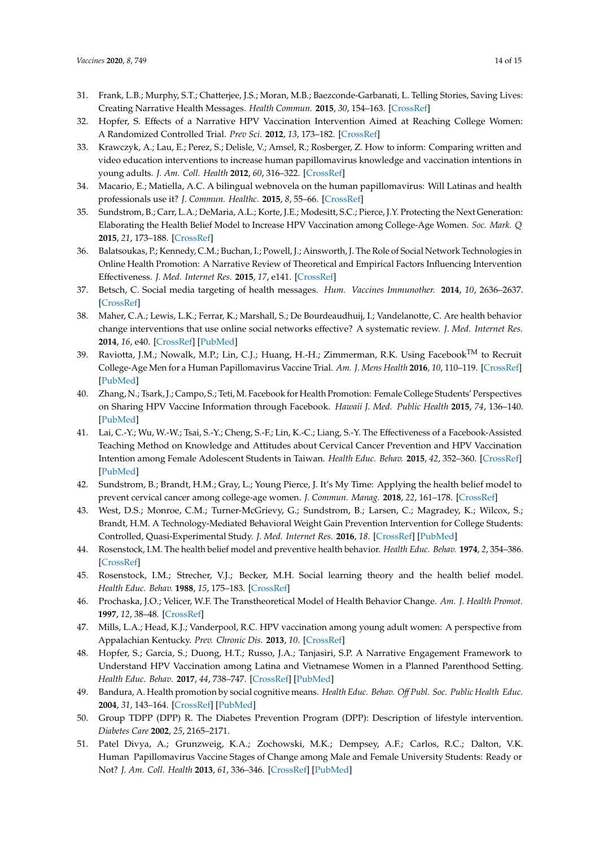- <span id="page-15-11"></span>31. Frank, L.B.; Murphy, S.T.; Chatterjee, J.S.; Moran, M.B.; Baezconde-Garbanati, L. Telling Stories, Saving Lives: Creating Narrative Health Messages. *Health Commun.* **2015**, *30*, 154–163. [\[CrossRef\]](http://dx.doi.org/10.1080/10410236.2014.974126)
- 32. Hopfer, S. Effects of a Narrative HPV Vaccination Intervention Aimed at Reaching College Women: A Randomized Controlled Trial. *Prev Sci.* **2012**, *13*, 173–182. [\[CrossRef\]](http://dx.doi.org/10.1007/s11121-011-0254-1)
- <span id="page-15-9"></span>33. Krawczyk, A.; Lau, E.; Perez, S.; Delisle, V.; Amsel, R.; Rosberger, Z. How to inform: Comparing written and video education interventions to increase human papillomavirus knowledge and vaccination intentions in young adults. *J. Am. Coll. Health* **2012**, *60*, 316–322. [\[CrossRef\]](http://dx.doi.org/10.1080/07448481.2011.615355)
- <span id="page-15-12"></span>34. Macario, E.; Matiella, A.C. A bilingual webnovela on the human papillomavirus: Will Latinas and health professionals use it? *J. Commun. Healthc.* **2015**, *8*, 55–66. [\[CrossRef\]](http://dx.doi.org/10.1179/1753807615Y.0000000004)
- <span id="page-15-0"></span>35. Sundstrom, B.; Carr, L.A.; DeMaria, A.L.; Korte, J.E.; Modesitt, S.C.; Pierce, J.Y. Protecting the Next Generation: Elaborating the Health Belief Model to Increase HPV Vaccination among College-Age Women. *Soc. Mark. Q* **2015**, *21*, 173–188. [\[CrossRef\]](http://dx.doi.org/10.1177/1524500415598984)
- <span id="page-15-1"></span>36. Balatsoukas, P.; Kennedy, C.M.; Buchan, I.; Powell, J.; Ainsworth, J. The Role of Social Network Technologies in Online Health Promotion: A Narrative Review of Theoretical and Empirical Factors Influencing Intervention Effectiveness. *J. Med. Internet Res.* **2015**, *17*, e141. [\[CrossRef\]](http://dx.doi.org/10.2196/jmir.3662)
- 37. Betsch, C. Social media targeting of health messages. *Hum. Vaccines Immunother.* **2014**, *10*, 2636–2637. [\[CrossRef\]](http://dx.doi.org/10.4161/hv.32234)
- 38. Maher, C.A.; Lewis, L.K.; Ferrar, K.; Marshall, S.; De Bourdeaudhuij, I.; Vandelanotte, C. Are health behavior change interventions that use online social networks effective? A systematic review. *J. Med. Internet Res.* **2014**, *16*, e40. [\[CrossRef\]](http://dx.doi.org/10.2196/jmir.2952) [\[PubMed\]](http://www.ncbi.nlm.nih.gov/pubmed/24550083)
- 39. Raviotta, J.M.; Nowalk, M.P.; Lin, C.J.; Huang, H.-H.; Zimmerman, R.K. Using Facebook<sup>TM</sup> to Recruit College-Age Men for a Human Papillomavirus Vaccine Trial. *Am. J. Mens Health* **2016**, *10*, 110–119. [\[CrossRef\]](http://dx.doi.org/10.1177/1557988314557563) [\[PubMed\]](http://www.ncbi.nlm.nih.gov/pubmed/25389213)
- <span id="page-15-2"></span>40. Zhang, N.; Tsark, J.; Campo, S.; Teti, M. Facebook for Health Promotion: Female College Students' Perspectives on Sharing HPV Vaccine Information through Facebook. *Hawaii J. Med. Public Health* **2015**, *74*, 136–140. [\[PubMed\]](http://www.ncbi.nlm.nih.gov/pubmed/25954600)
- <span id="page-15-3"></span>41. Lai, C.-Y.; Wu, W.-W.; Tsai, S.-Y.; Cheng, S.-F.; Lin, K.-C.; Liang, S.-Y. The Effectiveness of a Facebook-Assisted Teaching Method on Knowledge and Attitudes about Cervical Cancer Prevention and HPV Vaccination Intention among Female Adolescent Students in Taiwan. *Health Educ. Behav.* **2015**, *42*, 352–360. [\[CrossRef\]](http://dx.doi.org/10.1177/1090198114558591) [\[PubMed\]](http://www.ncbi.nlm.nih.gov/pubmed/25512072)
- <span id="page-15-4"></span>42. Sundstrom, B.; Brandt, H.M.; Gray, L.; Young Pierce, J. It's My Time: Applying the health belief model to prevent cervical cancer among college-age women. *J. Commun. Manag.* **2018**, *22*, 161–178. [\[CrossRef\]](http://dx.doi.org/10.1108/JCOM-06-2016-0044)
- <span id="page-15-5"></span>43. West, D.S.; Monroe, C.M.; Turner-McGrievy, G.; Sundstrom, B.; Larsen, C.; Magradey, K.; Wilcox, S.; Brandt, H.M. A Technology-Mediated Behavioral Weight Gain Prevention Intervention for College Students: Controlled, Quasi-Experimental Study. *J. Med. Internet Res.* **2016**, *18*. [\[CrossRef\]](http://dx.doi.org/10.2196/jmir.5474) [\[PubMed\]](http://www.ncbi.nlm.nih.gov/pubmed/27296086)
- <span id="page-15-6"></span>44. Rosenstock, I.M. The health belief model and preventive health behavior. *Health Educ. Behav.* **1974**, *2*, 354–386. [\[CrossRef\]](http://dx.doi.org/10.1177/109019817400200405)
- <span id="page-15-7"></span>45. Rosenstock, I.M.; Strecher, V.J.; Becker, M.H. Social learning theory and the health belief model. *Health Educ. Behav.* **1988**, *15*, 175–183. [\[CrossRef\]](http://dx.doi.org/10.1177/109019818801500203)
- <span id="page-15-8"></span>46. Prochaska, J.O.; Velicer, W.F. The Transtheoretical Model of Health Behavior Change. *Am. J. Health Promot.* **1997**, *12*, 38–48. [\[CrossRef\]](http://dx.doi.org/10.4278/0890-1171-12.1.38)
- <span id="page-15-10"></span>47. Mills, L.A.; Head, K.J.; Vanderpool, R.C. HPV vaccination among young adult women: A perspective from Appalachian Kentucky. *Prev. Chronic Dis.* **2013**, *10*. [\[CrossRef\]](http://dx.doi.org/10.5888/pcd10.120183)
- <span id="page-15-13"></span>48. Hopfer, S.; Garcia, S.; Duong, H.T.; Russo, J.A.; Tanjasiri, S.P. A Narrative Engagement Framework to Understand HPV Vaccination among Latina and Vietnamese Women in a Planned Parenthood Setting. *Health Educ. Behav.* **2017**, *44*, 738–747. [\[CrossRef\]](http://dx.doi.org/10.1177/1090198117728761) [\[PubMed\]](http://www.ncbi.nlm.nih.gov/pubmed/28854812)
- <span id="page-15-14"></span>49. Bandura, A. Health promotion by social cognitive means. *Health Educ. Behav. O*ff *Publ. Soc. Public Health Educ.* **2004**, *31*, 143–164. [\[CrossRef\]](http://dx.doi.org/10.1177/1090198104263660) [\[PubMed\]](http://www.ncbi.nlm.nih.gov/pubmed/15090118)
- <span id="page-15-15"></span>50. Group TDPP (DPP) R. The Diabetes Prevention Program (DPP): Description of lifestyle intervention. *Diabetes Care* **2002**, *25*, 2165–2171.
- <span id="page-15-16"></span>51. Patel Divya, A.; Grunzweig, K.A.; Zochowski, M.K.; Dempsey, A.F.; Carlos, R.C.; Dalton, V.K. Human Papillomavirus Vaccine Stages of Change among Male and Female University Students: Ready or Not? *J. Am. Coll. Health* **2013**, *61*, 336–346. [\[CrossRef\]](http://dx.doi.org/10.1080/07448481.2013.811244) [\[PubMed\]](http://www.ncbi.nlm.nih.gov/pubmed/23930748)